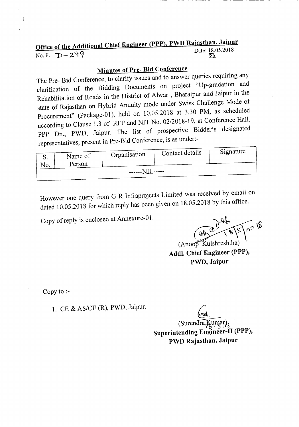## Office of the Additional Chief Engineer (PPP), PWD Rajasthan, Jaipur

Ĵ.

l.

## $\overline{D}$  Date: 18.05.2018<br>No. F.  $\overline{D}$  - 299

## Minutes of Pre- Bid Conference

The Pre- Bid Conference, to clarify issues and to answer queries requiring any clarification of the Bidding Documents on project "Up-gradation and Rehabilitation of Roads in the District of Alwar , Bharatpur and Jaipur in the state of Rajasthan on Hybrid Anuuity mode under Swiss Challenge Mode of Procurement" (Package-Ol), held on 10.05.2018 at 3.30 PM, as scheduled according to Clause 1.3 of RFP and NIT No. *02/2018-19,* at Conference Hall, PPP Dn., PWD, Jaipur. The list of prospective Bidder's designated representatives, present in Pre-Bid Conference, is as under:-

| Signature<br>Contact details |         |              |  |  |  |
|------------------------------|---------|--------------|--|--|--|
| ື.                           | Name of | Organisation |  |  |  |
| No.                          | Person  |              |  |  |  |
| ------NIL-----               |         |              |  |  |  |
|                              |         |              |  |  |  |

However one query from G R Infraprojects Limited was received by email on dated 10.05.2018 for which reply has been given on 18.05.2018 by this office.

Copy of reply is enclosed at Annexure-O1.

(Anoop Kulshreshtha) Addl. Chief Engineer (PPP), PWD, Jaipur

Copy to :-

1. CE & *AS/CE* (R), PWD, Jaipur.

 $\overline{\mathcal{C}}$  $\text{Surenara}$ Superintending Engineer-II (PPP), PWD Rajasthan, Jaipur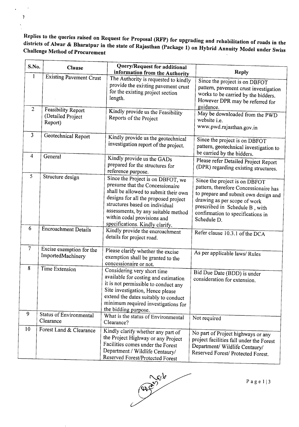Replies to the queries raised on Request for Proposal CRFP) for upgrading and rehabilitation of roads in the districts of Alwar & Bharatpur in the state of Rajasthan (package 1) on Hybrid Annuity Model under Swiss Challenge Method of Procurement

-,

l,

 $\bar{z}$ 

| S.No.          | <b>Clause</b>                                      | Query/Request for additional<br>information from the Authority                                                                                                                                                                                                                                  | <b>Reply</b>                                                                                                                                                                                                                         |
|----------------|----------------------------------------------------|-------------------------------------------------------------------------------------------------------------------------------------------------------------------------------------------------------------------------------------------------------------------------------------------------|--------------------------------------------------------------------------------------------------------------------------------------------------------------------------------------------------------------------------------------|
| $\mathbf{1}$   | <b>Existing Pavement Crust</b>                     | The Authority is requested to kindly<br>provide the existing pavement crust<br>for the existing project section<br>length.                                                                                                                                                                      | Since the project is on DBFOT<br>pattern, pavement crust investigation<br>works to be carried by the bidders.<br>However DPR may be referred for                                                                                     |
| $\overline{2}$ | Feasibility Report<br>(Detailed Project<br>Report) | Kindly provide us the Feasibility<br>Reports of the Project                                                                                                                                                                                                                                     | guidance.<br>May be downloaded from the PWD<br>website <i>i.e.</i><br>www.pwd.rajasthan.gov.in                                                                                                                                       |
| $\overline{3}$ | Geotechnical Report                                | Kindly provide us the geotechnical<br>investigation report of the project.                                                                                                                                                                                                                      | Since the project is on DBFOT<br>pattern, geotechnical investigation to<br>be carried by the bidders.                                                                                                                                |
| $\overline{4}$ | General                                            | Kindly provide us the GADs<br>prepared for the structures for<br>reference purpose.                                                                                                                                                                                                             | Please refer Detailed Project Report<br>(DPR) regarding existing structures.                                                                                                                                                         |
| 5              | Structure design                                   | Since the Project is on DBFOT, we<br>presume that the Concessionaire<br>shall be allowed to submit their own<br>designs for all the proposed project<br>structures based on individual<br>assessments, by any suitable method<br>within codal provisions and<br>specifications. Kindly clarify. | Since the project is on DBFOT<br>pattern, therefore Concessionaire has<br>to prepare and submit own design and<br>drawing as per scope of work<br>prescribed in Schedule B, with<br>confirmation to specifications in<br>Schedule D. |
| 6              | Encroachment Details                               | Kindly provide the encroachment<br>details for project road.                                                                                                                                                                                                                                    | Refer clause 10.3.1 of the DCA                                                                                                                                                                                                       |
| $\tau$         | Excise exemption for the<br>ImportedMachinery      | Please clarify whether the excise<br>exemption shall be granted to the<br>concessionaire or not.                                                                                                                                                                                                | As per applicable laws/Rules                                                                                                                                                                                                         |
| 8              | Time Extension                                     | Considering very short time<br>available for costing and estimation<br>it is not permissible to conduct any<br>Site investigation, Hence please<br>extend the dates suitably to conduct<br>minimum required investigations for<br>the bidding purpose.                                          | Bid Due Date (BDD) is under<br>consideration for extension.                                                                                                                                                                          |
| 9              | Status of Environmental<br>Clearance               | What is the status of Environmental<br>Clearance?                                                                                                                                                                                                                                               | Not required                                                                                                                                                                                                                         |
| 10             | Forest Land & Clearance                            | Kindly clarify whether any part of<br>the Project Highway or any Project<br>Facilities comes under the Forest<br>Department / Wildlife Centaury/<br>Reserved Forest/Protected Forest                                                                                                            | No part of Project highways or any<br>project facilities fall under the Forest<br>Department/ Wildlife Centaury/<br>Reserved Forest/ Protected Forest.                                                                               |

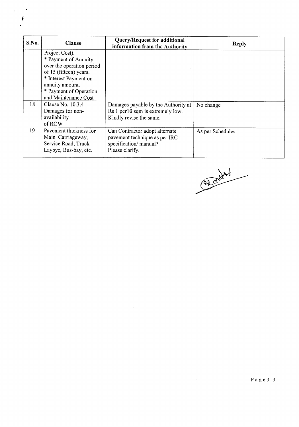| S.No. | <b>Clause</b>                                                                                                                                                                               | Query/Request for additional<br>information from the Authority                                               | <b>Reply</b>     |
|-------|---------------------------------------------------------------------------------------------------------------------------------------------------------------------------------------------|--------------------------------------------------------------------------------------------------------------|------------------|
|       | Project Cost).<br>* Payment of Annuity<br>over the operation period<br>of 15 (fifteen) years.<br>* Interest Payment on<br>annuity amount.<br>* Payment of Operation<br>and Maintenance Cost |                                                                                                              |                  |
| 18    | Clause No. $10.3.4$<br>Damages for non-<br>availability<br>of ROW                                                                                                                           | Damages payable by the Authority at<br>Rs 1 per 10 sqm is extremely low.<br>Kindly revise the same.          | No change        |
| 19    | Pavement thickness for<br>Main Carriageway,<br>Service Road, Truck<br>Laybye, Bus-bay, etc.                                                                                                 | Can Contractor adopt alternate<br>pavement technique as per IRC<br>specification/ manual?<br>Please clarify. | As per Schedules |

 $\chi^2_{\rm{max}}$  $\ddot{\phantom{0}}$ 

 $\frac{1}{2}$ 

Alcohol